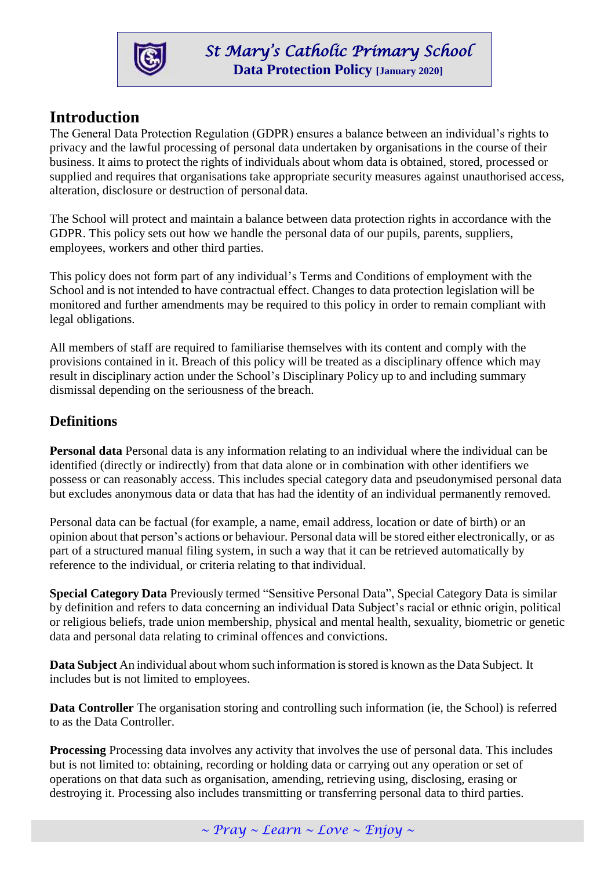

# **Introduction**

The General Data Protection Regulation (GDPR) ensures a balance between an individual's rights to privacy and the lawful processing of personal data undertaken by organisations in the course of their business. It aims to protect the rights of individuals about whom data is obtained, stored, processed or supplied and requires that organisations take appropriate security measures against unauthorised access, alteration, disclosure or destruction of personal data.

The School will protect and maintain a balance between data protection rights in accordance with the GDPR. This policy sets out how we handle the personal data of our pupils, parents, suppliers, employees, workers and other third parties.

This policy does not form part of any individual's Terms and Conditions of employment with the School and is not intended to have contractual effect. Changes to data protection legislation will be monitored and further amendments may be required to this policy in order to remain compliant with legal obligations.

All members of staff are required to familiarise themselves with its content and comply with the provisions contained in it. Breach of this policy will be treated as a disciplinary offence which may result in disciplinary action under the School's Disciplinary Policy up to and including summary dismissal depending on the seriousness of the breach.

## **Definitions**

**Personal data** Personal data is any information relating to an individual where the individual can be identified (directly or indirectly) from that data alone or in combination with other identifiers we possess or can reasonably access. This includes special category data and pseudonymised personal data but excludes anonymous data or data that has had the identity of an individual permanently removed.

Personal data can be factual (for example, a name, email address, location or date of birth) or an opinion about that person's actions or behaviour. Personal data will be stored either electronically, or as part of a structured manual filing system, in such a way that it can be retrieved automatically by reference to the individual, or criteria relating to that individual.

**Special Category Data** Previously termed "Sensitive Personal Data", Special Category Data is similar by definition and refers to data concerning an individual Data Subject's racial or ethnic origin, political or religious beliefs, trade union membership, physical and mental health, sexuality, biometric or genetic data and personal data relating to criminal offences and convictions.

**Data Subject** An individual about whom such information is stored is known as the Data Subject. It includes but is not limited to employees.

**Data Controller** The organisation storing and controlling such information (ie, the School) is referred to as the Data Controller.

**Processing** Processing data involves any activity that involves the use of personal data. This includes but is not limited to: obtaining, recording or holding data or carrying out any operation or set of operations on that data such as organisation, amending, retrieving using, disclosing, erasing or destroying it. Processing also includes transmitting or transferring personal data to third parties.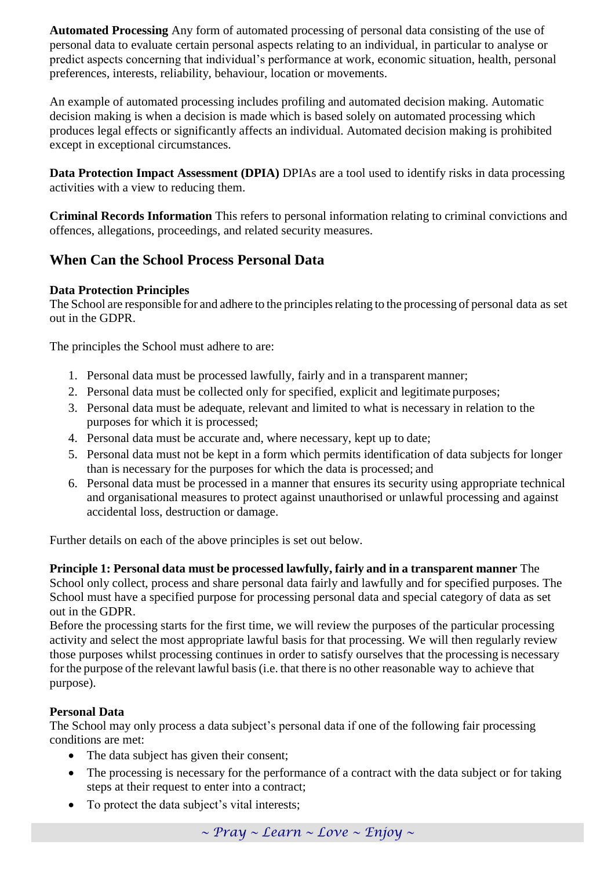**Automated Processing** Any form of automated processing of personal data consisting of the use of personal data to evaluate certain personal aspects relating to an individual, in particular to analyse or predict aspects concerning that individual's performance at work, economic situation, health, personal preferences, interests, reliability, behaviour, location or movements.

An example of automated processing includes profiling and automated decision making. Automatic decision making is when a decision is made which is based solely on automated processing which produces legal effects or significantly affects an individual. Automated decision making is prohibited except in exceptional circumstances.

**Data Protection Impact Assessment (DPIA)** DPIAs are a tool used to identify risks in data processing activities with a view to reducing them.

**Criminal Records Information** This refers to personal information relating to criminal convictions and offences, allegations, proceedings, and related security measures.

## **When Can the School Process Personal Data**

#### **Data Protection Principles**

The School are responsible for and adhere to the principles relating to the processing of personal data as set out in the GDPR.

The principles the School must adhere to are:

- 1. Personal data must be processed lawfully, fairly and in a transparent manner;
- 2. Personal data must be collected only for specified, explicit and legitimate purposes;
- 3. Personal data must be adequate, relevant and limited to what is necessary in relation to the purposes for which it is processed;
- 4. Personal data must be accurate and, where necessary, kept up to date;
- 5. Personal data must not be kept in a form which permits identification of data subjects for longer than is necessary for the purposes for which the data is processed; and
- 6. Personal data must be processed in a manner that ensures its security using appropriate technical and organisational measures to protect against unauthorised or unlawful processing and against accidental loss, destruction or damage.

Further details on each of the above principles is set out below.

**Principle 1: Personal data must be processed lawfully, fairly and in a transparent manner** The School only collect, process and share personal data fairly and lawfully and for specified purposes. The School must have a specified purpose for processing personal data and special category of data as set out in the GDPR.

Before the processing starts for the first time, we will review the purposes of the particular processing activity and select the most appropriate lawful basis for that processing. We will then regularly review those purposes whilst processing continues in order to satisfy ourselves that the processing is necessary for the purpose of the relevant lawful basis(i.e. that there is no other reasonable way to achieve that purpose).

#### **Personal Data**

The School may only process a data subject's personal data if one of the following fair processing conditions are met:

- The data subject has given their consent;
- The processing is necessary for the performance of a contract with the data subject or for taking steps at their request to enter into a contract;
- To protect the data subject's vital interests;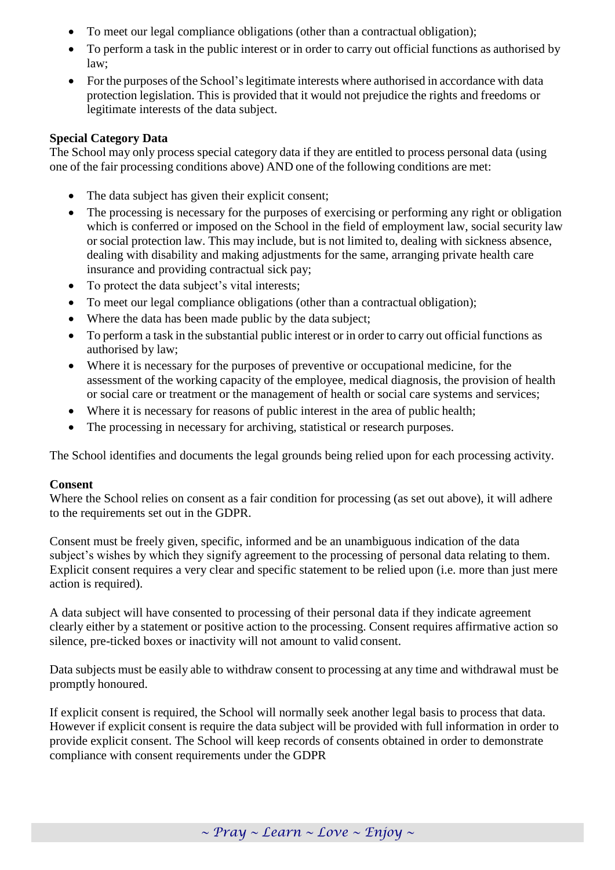- To meet our legal compliance obligations (other than a contractual obligation);
- To perform a task in the public interest or in order to carry out official functions as authorised by law;
- For the purposes of the School's legitimate interests where authorised in accordance with data protection legislation. This is provided that it would not prejudice the rights and freedoms or legitimate interests of the data subject.

### **Special Category Data**

The School may only process special category data if they are entitled to process personal data (using one of the fair processing conditions above) AND one of the following conditions are met:

- The data subject has given their explicit consent;
- The processing is necessary for the purposes of exercising or performing any right or obligation which is conferred or imposed on the School in the field of employment law, social security law or social protection law. This may include, but is not limited to, dealing with sickness absence, dealing with disability and making adjustments for the same, arranging private health care insurance and providing contractual sick pay;
- To protect the data subject's vital interests;
- To meet our legal compliance obligations (other than a contractual obligation):
- Where the data has been made public by the data subject;
- To perform a task in the substantial public interest or in order to carry out official functions as authorised by law;
- Where it is necessary for the purposes of preventive or occupational medicine, for the assessment of the working capacity of the employee, medical diagnosis, the provision of health or social care or treatment or the management of health or social care systems and services;
- Where it is necessary for reasons of public interest in the area of public health;
- The processing in necessary for archiving, statistical or research purposes.

The School identifies and documents the legal grounds being relied upon for each processing activity.

#### **Consent**

Where the School relies on consent as a fair condition for processing (as set out above), it will adhere to the requirements set out in the GDPR.

Consent must be freely given, specific, informed and be an unambiguous indication of the data subject's wishes by which they signify agreement to the processing of personal data relating to them. Explicit consent requires a very clear and specific statement to be relied upon (i.e. more than just mere action is required).

A data subject will have consented to processing of their personal data if they indicate agreement clearly either by a statement or positive action to the processing. Consent requires affirmative action so silence, pre-ticked boxes or inactivity will not amount to valid consent.

Data subjects must be easily able to withdraw consent to processing at any time and withdrawal must be promptly honoured.

If explicit consent is required, the School will normally seek another legal basis to process that data. However if explicit consent is require the data subject will be provided with full information in order to provide explicit consent. The School will keep records of consents obtained in order to demonstrate compliance with consent requirements under the GDPR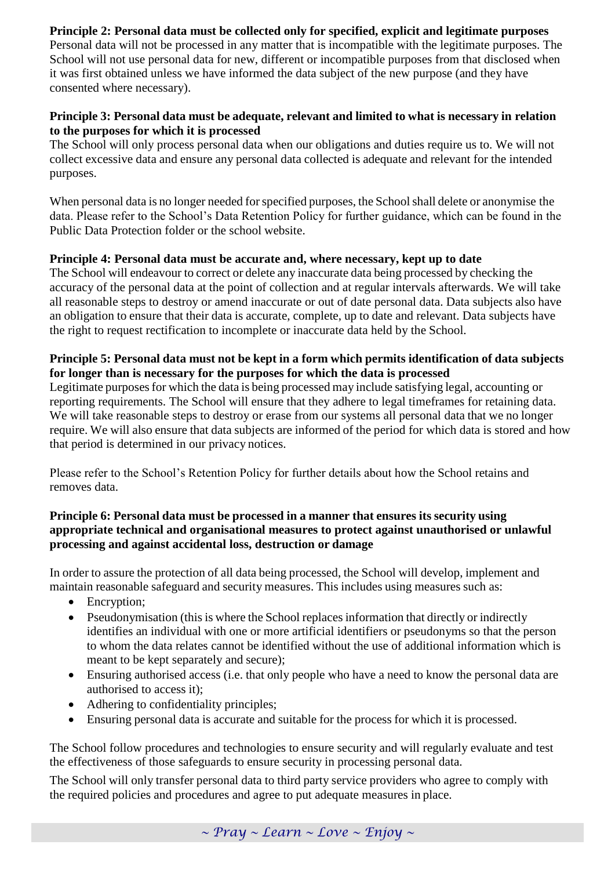## **Principle 2: Personal data must be collected only for specified, explicit and legitimate purposes**

Personal data will not be processed in any matter that is incompatible with the legitimate purposes. The School will not use personal data for new, different or incompatible purposes from that disclosed when it was first obtained unless we have informed the data subject of the new purpose (and they have consented where necessary).

#### **Principle 3: Personal data must be adequate, relevant and limited to what is necessary in relation to the purposes for which it is processed**

The School will only process personal data when our obligations and duties require us to. We will not collect excessive data and ensure any personal data collected is adequate and relevant for the intended purposes.

When personal data is no longer needed for specified purposes, the School shall delete or anonymise the data. Please refer to the School's Data Retention Policy for further guidance, which can be found in the Public Data Protection folder or the school website.

#### **Principle 4: Personal data must be accurate and, where necessary, kept up to date**

The School will endeavour to correct or delete any inaccurate data being processed by checking the accuracy of the personal data at the point of collection and at regular intervals afterwards. We will take all reasonable steps to destroy or amend inaccurate or out of date personal data. Data subjects also have an obligation to ensure that their data is accurate, complete, up to date and relevant. Data subjects have the right to request rectification to incomplete or inaccurate data held by the School.

#### **Principle 5: Personal data must not be kept in a form which permits identification of data subjects for longer than is necessary for the purposes for which the data is processed**

Legitimate purposes for which the data is being processed may include satisfying legal, accounting or reporting requirements. The School will ensure that they adhere to legal timeframes for retaining data. We will take reasonable steps to destroy or erase from our systems all personal data that we no longer require. We will also ensure that data subjects are informed of the period for which data is stored and how that period is determined in our privacy notices.

Please refer to the School's Retention Policy for further details about how the School retains and removes data.

#### **Principle 6: Personal data must be processed in a manner that ensures its security using appropriate technical and organisational measures to protect against unauthorised or unlawful processing and against accidental loss, destruction or damage**

In order to assure the protection of all data being processed, the School will develop, implement and maintain reasonable safeguard and security measures. This includes using measures such as:

- Encryption;
- Pseudonymisation (this is where the School replacesinformation that directly or indirectly identifies an individual with one or more artificial identifiers or pseudonyms so that the person to whom the data relates cannot be identified without the use of additional information which is meant to be kept separately and secure);
- Ensuring authorised access (i.e. that only people who have a need to know the personal data are authorised to access it);
- Adhering to confidentiality principles;
- Ensuring personal data is accurate and suitable for the process for which it is processed.

The School follow procedures and technologies to ensure security and will regularly evaluate and test the effectiveness of those safeguards to ensure security in processing personal data.

The School will only transfer personal data to third party service providers who agree to comply with the required policies and procedures and agree to put adequate measures in place.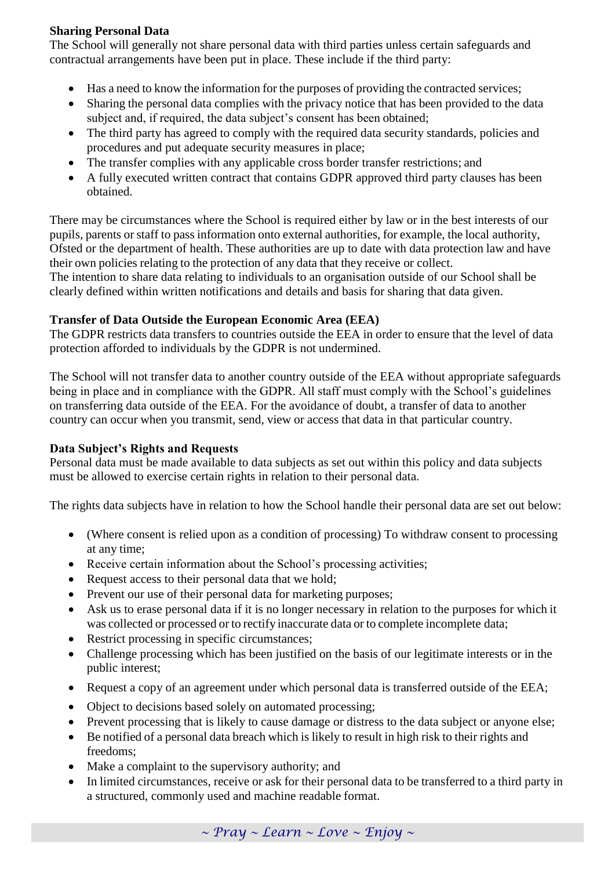## **Sharing Personal Data**

The School will generally not share personal data with third parties unless certain safeguards and contractual arrangements have been put in place. These include if the third party:

- Has a need to know the information for the purposes of providing the contracted services;
- Sharing the personal data complies with the privacy notice that has been provided to the data subject and, if required, the data subject's consent has been obtained;
- The third party has agreed to comply with the required data security standards, policies and procedures and put adequate security measures in place;
- The transfer complies with any applicable cross border transfer restrictions; and
- A fully executed written contract that contains GDPR approved third party clauses has been obtained.

There may be circumstances where the School is required either by law or in the best interests of our pupils, parents or staff to pass information onto external authorities, for example, the local authority, Ofsted or the department of health. These authorities are up to date with data protection law and have their own policies relating to the protection of any data that they receive or collect. The intention to share data relating to individuals to an organisation outside of our School shall be clearly defined within written notifications and details and basis for sharing that data given.

## **Transfer of Data Outside the European Economic Area (EEA)**

The GDPR restricts data transfers to countries outside the EEA in order to ensure that the level of data protection afforded to individuals by the GDPR is not undermined.

The School will not transfer data to another country outside of the EEA without appropriate safeguards being in place and in compliance with the GDPR. All staff must comply with the School's guidelines on transferring data outside of the EEA. For the avoidance of doubt, a transfer of data to another country can occur when you transmit, send, view or access that data in that particular country.

#### **Data Subject's Rights and Requests**

Personal data must be made available to data subjects as set out within this policy and data subjects must be allowed to exercise certain rights in relation to their personal data.

The rights data subjects have in relation to how the School handle their personal data are set out below:

- (Where consent is relied upon as a condition of processing) To withdraw consent to processing at any time;
- Receive certain information about the School's processing activities;
- Request access to their personal data that we hold;
- Prevent our use of their personal data for marketing purposes;
- Ask us to erase personal data if it is no longer necessary in relation to the purposes for which it was collected or processed or to rectify inaccurate data or to complete incomplete data;
- Restrict processing in specific circumstances;
- Challenge processing which has been justified on the basis of our legitimate interests or in the public interest;
- Request a copy of an agreement under which personal data is transferred outside of the EEA;
- Object to decisions based solely on automated processing;
- Prevent processing that is likely to cause damage or distress to the data subject or anyone else;
- Be notified of a personal data breach which is likely to result in high risk to their rights and freedoms;
- Make a complaint to the supervisory authority; and
- In limited circumstances, receive or ask for their personal data to be transferred to a third party in a structured, commonly used and machine readable format.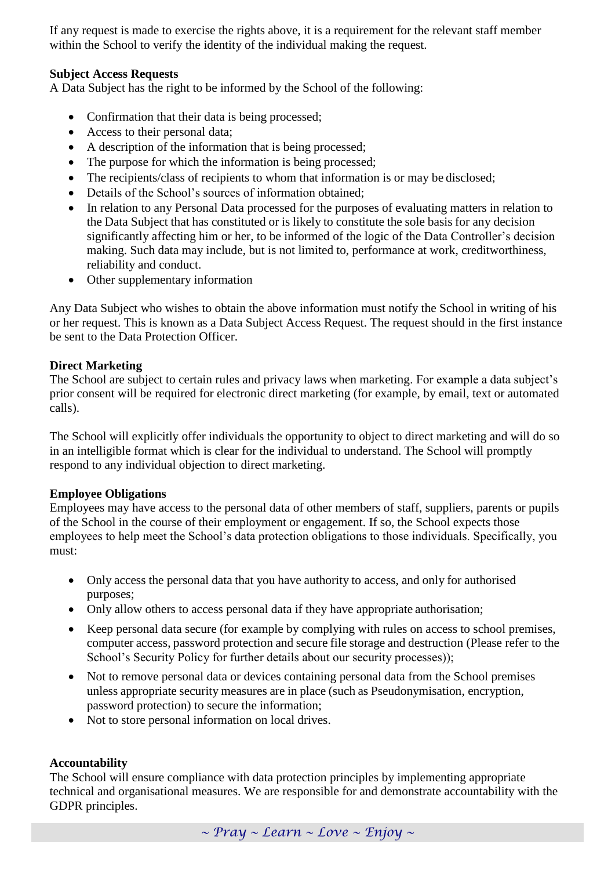If any request is made to exercise the rights above, it is a requirement for the relevant staff member within the School to verify the identity of the individual making the request.

#### **Subject Access Requests**

A Data Subject has the right to be informed by the School of the following:

- Confirmation that their data is being processed;
- Access to their personal data;
- A description of the information that is being processed;
- The purpose for which the information is being processed;
- The recipients/class of recipients to whom that information is or may be disclosed:
- Details of the School's sources of information obtained;
- In relation to any Personal Data processed for the purposes of evaluating matters in relation to the Data Subject that has constituted or is likely to constitute the sole basis for any decision significantly affecting him or her, to be informed of the logic of the Data Controller's decision making. Such data may include, but is not limited to, performance at work, creditworthiness, reliability and conduct.
- Other supplementary information

Any Data Subject who wishes to obtain the above information must notify the School in writing of his or her request. This is known as a Data Subject Access Request. The request should in the first instance be sent to the Data Protection Officer.

#### **Direct Marketing**

The School are subject to certain rules and privacy laws when marketing. For example a data subject's prior consent will be required for electronic direct marketing (for example, by email, text or automated calls).

The School will explicitly offer individuals the opportunity to object to direct marketing and will do so in an intelligible format which is clear for the individual to understand. The School will promptly respond to any individual objection to direct marketing.

#### **Employee Obligations**

Employees may have access to the personal data of other members of staff, suppliers, parents or pupils of the School in the course of their employment or engagement. If so, the School expects those employees to help meet the School's data protection obligations to those individuals. Specifically, you must:

- Only access the personal data that you have authority to access, and only for authorised purposes;
- Only allow others to access personal data if they have appropriate authorisation;
- Keep personal data secure (for example by complying with rules on access to school premises, computer access, password protection and secure file storage and destruction (Please refer to the School's Security Policy for further details about our security processes));
- Not to remove personal data or devices containing personal data from the School premises unless appropriate security measures are in place (such as Pseudonymisation, encryption, password protection) to secure the information;
- Not to store personal information on local drives.

#### **Accountability**

The School will ensure compliance with data protection principles by implementing appropriate technical and organisational measures. We are responsible for and demonstrate accountability with the GDPR principles.

*~ Pray ~ Learn ~ Love ~ Enjoy ~*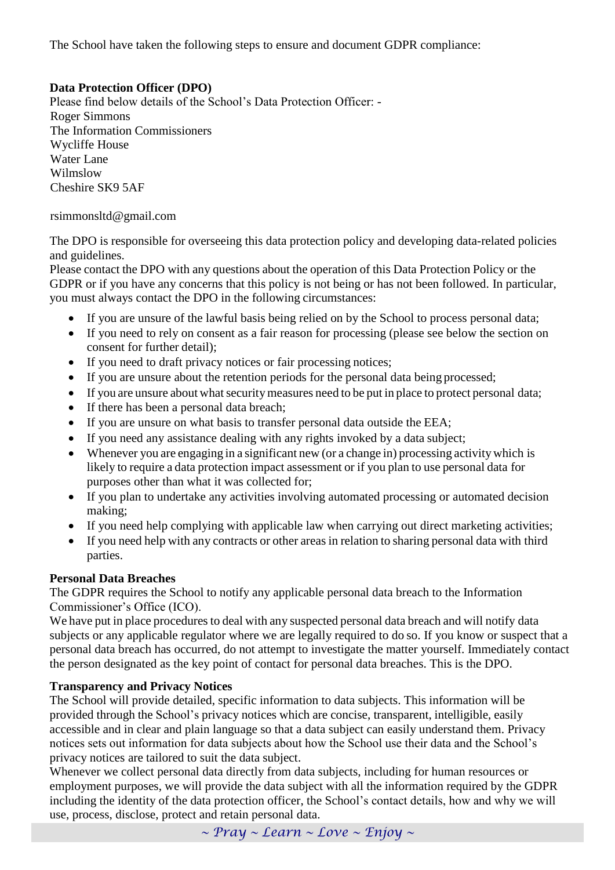The School have taken the following steps to ensure and document GDPR compliance:

#### **Data Protection Officer (DPO)**

Please find below details of the School's Data Protection Officer: - Roger Simmons The Information Commissioners Wycliffe House Water Lane Wilmslow Cheshire SK9 5AF

#### rsimmonsltd@gmail.com

The DPO is responsible for overseeing this data protection policy and developing data-related policies and guidelines.

Please contact the DPO with any questions about the operation of this Data Protection Policy or the GDPR or if you have any concerns that this policy is not being or has not been followed. In particular, you must always contact the DPO in the following circumstances:

- If you are unsure of the lawful basis being relied on by the School to process personal data;
- If you need to rely on consent as a fair reason for processing (please see below the section on consent for further detail);
- If you need to draft privacy notices or fair processing notices;
- If you are unsure about the retention periods for the personal data being processed;
- If you are unsure about what security measures need to be put in place to protect personal data;
- If there has been a personal data breach;
- If you are unsure on what basis to transfer personal data outside the EEA;
- If you need any assistance dealing with any rights invoked by a data subject;
- Whenever you are engaging in a significant new (or a change in) processing activity which is likely to require a data protection impact assessment or if you plan to use personal data for purposes other than what it was collected for;
- If you plan to undertake any activities involving automated processing or automated decision making;
- If you need help complying with applicable law when carrying out direct marketing activities;
- If you need help with any contracts or other areas in relation to sharing personal data with third parties.

#### **Personal Data Breaches**

The GDPR requires the School to notify any applicable personal data breach to the Information Commissioner's Office (ICO).

We have put in place procedures to deal with any suspected personal data breach and will notify data subjects or any applicable regulator where we are legally required to do so. If you know or suspect that a personal data breach has occurred, do not attempt to investigate the matter yourself. Immediately contact the person designated as the key point of contact for personal data breaches. This is the DPO.

#### **Transparency and Privacy Notices**

The School will provide detailed, specific information to data subjects. This information will be provided through the School's privacy notices which are concise, transparent, intelligible, easily accessible and in clear and plain language so that a data subject can easily understand them. Privacy notices sets out information for data subjects about how the School use their data and the School's privacy notices are tailored to suit the data subject.

Whenever we collect personal data directly from data subjects, including for human resources or employment purposes, we will provide the data subject with all the information required by the GDPR including the identity of the data protection officer, the School's contact details, how and why we will use, process, disclose, protect and retain personal data.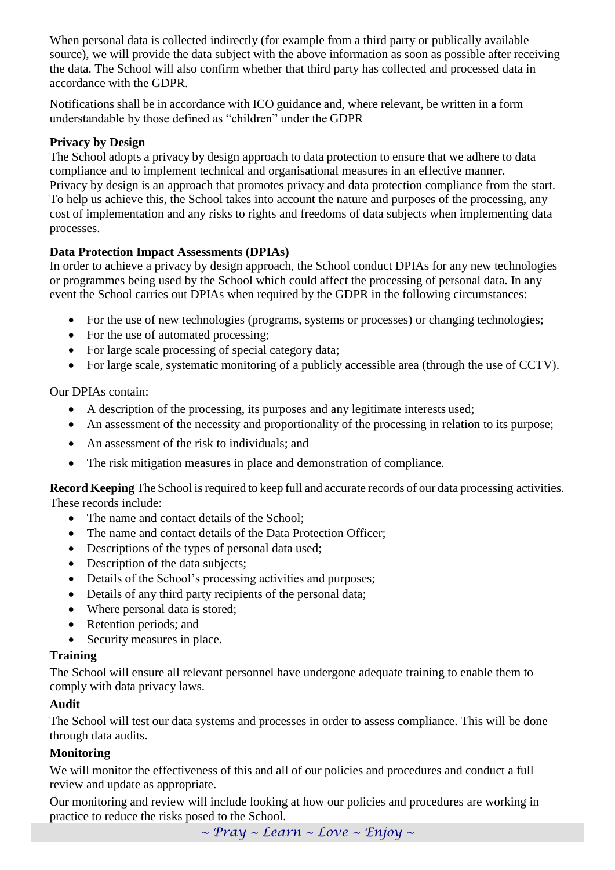When personal data is collected indirectly (for example from a third party or publically available source), we will provide the data subject with the above information as soon as possible after receiving the data. The School will also confirm whether that third party has collected and processed data in accordance with the GDPR.

Notifications shall be in accordance with ICO guidance and, where relevant, be written in a form understandable by those defined as "children" under the GDPR

#### **Privacy by Design**

The School adopts a privacy by design approach to data protection to ensure that we adhere to data compliance and to implement technical and organisational measures in an effective manner. Privacy by design is an approach that promotes privacy and data protection compliance from the start. To help us achieve this, the School takes into account the nature and purposes of the processing, any cost of implementation and any risks to rights and freedoms of data subjects when implementing data processes.

#### **Data Protection Impact Assessments (DPIAs)**

In order to achieve a privacy by design approach, the School conduct DPIAs for any new technologies or programmes being used by the School which could affect the processing of personal data. In any event the School carries out DPIAs when required by the GDPR in the following circumstances:

- For the use of new technologies (programs, systems or processes) or changing technologies;
- For the use of automated processing:
- For large scale processing of special category data;
- For large scale, systematic monitoring of a publicly accessible area (through the use of CCTV).

#### Our DPIAs contain:

- A description of the processing, its purposes and any legitimate interests used;
- An assessment of the necessity and proportionality of the processing in relation to its purpose;
- An assessment of the risk to individuals; and
- The risk mitigation measures in place and demonstration of compliance.

**Record Keeping** The School is required to keep full and accurate records of our data processing activities. These records include:

- The name and contact details of the School:
- The name and contact details of the Data Protection Officer;
- Descriptions of the types of personal data used;
- Description of the data subjects;
- Details of the School's processing activities and purposes;
- Details of any third party recipients of the personal data;
- Where personal data is stored:
- Retention periods; and
- Security measures in place.

#### **Training**

The School will ensure all relevant personnel have undergone adequate training to enable them to comply with data privacy laws.

## **Audit**

The School will test our data systems and processes in order to assess compliance. This will be done through data audits.

#### **Monitoring**

We will monitor the effectiveness of this and all of our policies and procedures and conduct a full review and update as appropriate.

Our monitoring and review will include looking at how our policies and procedures are working in practice to reduce the risks posed to the School.

*~ Pray ~ Learn ~ Love ~ Enjoy ~*